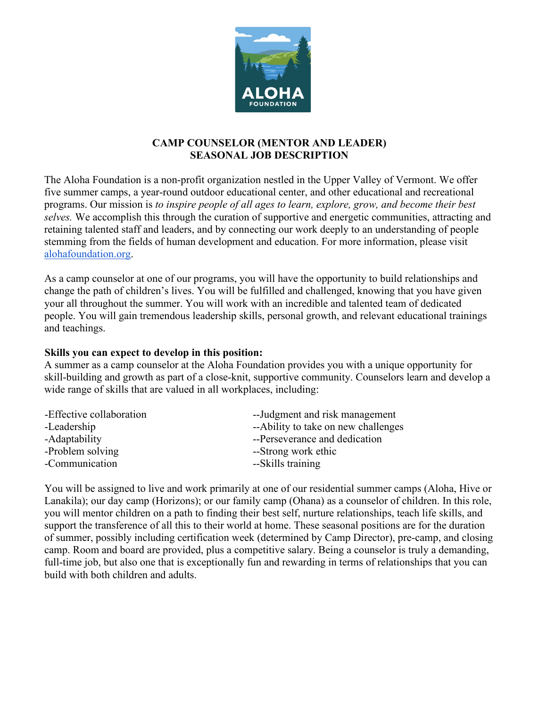

# **CAMP COUNSELOR (MENTOR AND LEADER) SEASONAL JOB DESCRIPTION**

The Aloha Foundation is a non-profit organization nestled in the Upper Valley of Vermont. We offer five summer camps, a year-round outdoor educational center, and other educational and recreational programs. Our mission is *to inspire people of all ages to learn, explore, grow, and become their best selves.* We accomplish this through the curation of supportive and energetic communities, attracting and retaining talented staff and leaders, and by connecting our work deeply to an understanding of people stemming from the fields of human development and education. For more information, please visit [alohafoundation.org.](http://alohafoundation.org/)

As a camp counselor at one of our programs, you will have the opportunity to build relationships and change the path of children's lives. You will be fulfilled and challenged, knowing that you have given your all throughout the summer. You will work with an incredible and talented team of dedicated people. You will gain tremendous leadership skills, personal growth, and relevant educational trainings and teachings.

#### **Skills you can expect to develop in this position:**

A summer as a camp counselor at the Aloha Foundation provides you with a unique opportunity for skill-building and growth as part of a close-knit, supportive community. Counselors learn and develop a wide range of skills that are valued in all workplaces, including:

| -Effective collaboration | --Judgment and risk management      |  |
|--------------------------|-------------------------------------|--|
| -Leadership              | --Ability to take on new challenges |  |
| -Adaptability            | --Perseverance and dedication       |  |
| -Problem solving         | --Strong work ethic                 |  |
| -Communication           | --Skills training                   |  |

You will be assigned to live and work primarily at one of our residential summer camps (Aloha, Hive or Lanakila); our day camp (Horizons); or our family camp (Ohana) as a counselor of children. In this role, you will mentor children on a path to finding their best self, nurture relationships, teach life skills, and support the transference of all this to their world at home. These seasonal positions are for the duration of summer, possibly including certification week (determined by Camp Director), pre-camp, and closing camp. Room and board are provided, plus a competitive salary. Being a counselor is truly a demanding, full-time job, but also one that is exceptionally fun and rewarding in terms of relationships that you can build with both children and adults.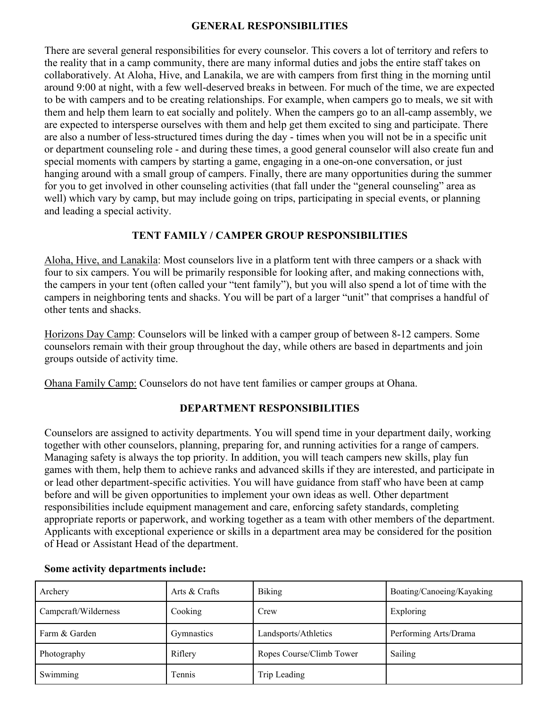### **GENERAL RESPONSIBILITIES**

There are several general responsibilities for every counselor. This covers a lot of territory and refers to the reality that in a camp community, there are many informal duties and jobs the entire staff takes on collaboratively. At Aloha, Hive, and Lanakila, we are with campers from first thing in the morning until around 9:00 at night, with a few well-deserved breaks in between. For much of the time, we are expected to be with campers and to be creating relationships. For example, when campers go to meals, we sit with them and help them learn to eat socially and politely. When the campers go to an all-camp assembly, we are expected to intersperse ourselves with them and help get them excited to sing and participate. There are also a number of less-structured times during the day - times when you will not be in a specific unit or department counseling role - and during these times, a good general counselor will also create fun and special moments with campers by starting a game, engaging in a one-on-one conversation, or just hanging around with a small group of campers. Finally, there are many opportunities during the summer for you to get involved in other counseling activities (that fall under the "general counseling" area as well) which vary by camp, but may include going on trips, participating in special events, or planning and leading a special activity.

## **TENT FAMILY / CAMPER GROUP RESPONSIBILITIES**

Aloha, Hive, and Lanakila: Most counselors live in a platform tent with three campers or a shack with four to six campers. You will be primarily responsible for looking after, and making connections with, the campers in your tent (often called your "tent family"), but you will also spend a lot of time with the campers in neighboring tents and shacks. You will be part of a larger "unit" that comprises a handful of other tents and shacks.

Horizons Day Camp: Counselors will be linked with a camper group of between 8-12 campers. Some counselors remain with their group throughout the day, while others are based in departments and join groups outside of activity time.

Ohana Family Camp: Counselors do not have tent families or camper groups at Ohana.

# **DEPARTMENT RESPONSIBILITIES**

Counselors are assigned to activity departments. You will spend time in your department daily, working together with other counselors, planning, preparing for, and running activities for a range of campers. Managing safety is always the top priority. In addition, you will teach campers new skills, play fun games with them, help them to achieve ranks and advanced skills if they are interested, and participate in or lead other department-specific activities. You will have guidance from staff who have been at camp before and will be given opportunities to implement your own ideas as well. Other department responsibilities include equipment management and care, enforcing safety standards, completing appropriate reports or paperwork, and working together as a team with other members of the department. Applicants with exceptional experience or skills in a department area may be considered for the position of Head or Assistant Head of the department.

| Archery              | Arts & Crafts | Biking                   | Boating/Canoeing/Kayaking |
|----------------------|---------------|--------------------------|---------------------------|
| Campcraft/Wilderness | Cooking       | Crew                     | Exploring                 |
| Farm & Garden        | Gymnastics    | Landsports/Athletics     | Performing Arts/Drama     |
| Photography          | Riflery       | Ropes Course/Climb Tower | Sailing                   |
| Swimming             | Tennis        | Trip Leading             |                           |

# **Some activity departments include:**